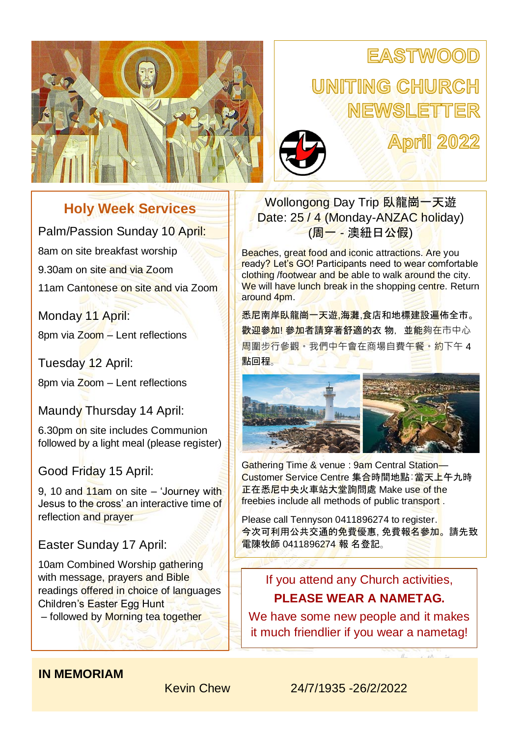# **EASTWOOD**

# UNITING CHURCH NEWSLETTER



**April 2022** 

## **Holy Week Services**

Palm/Passion Sunday 10 April: 8am on site breakfast worship 9.30am on site and via Zoom 11am Cantonese on site and via Zoom

Monday 11 April: 8pm via Zoom – Lent reflections

Tuesday 12 April:

8pm via Zoom – Lent reflections

Maundy Thursday 14 April:

6.30pm on site includes Communion followed by a light meal (please register)

Good Friday 15 April:

9, 10 and  $11$ am on site – 'Journey with Jesus to the cross' an interactive time of reflection and prayer

Easter Sunday 17 April:

10am Combined Worship gathering with message, prayers and Bible readings offered in choice of languages Children's Easter Egg Hunt – followed by Morning tea together

Wollongong Day Trip 臥龍崗一天遊 Date: 25 / 4 (Monday-ANZAC holiday) (周一 - 澳紐日公假)

Beaches, great food and iconic attractions. Are you ready? Let's GO! Participants need to wear comfortable clothing /footwear and be able to walk around the city. We will have lunch break in the shopping centre. Return around 4pm.

悉尼南岸臥龍崗一天遊,海灘,食店和地標建設遍佈全市。 教迎參加! 參加者請穿著舒適的衣 物, 並能夠在市中心 周圍步行參觀。我們中午會在商場自費午餐。約下午 4 點回程。



Gathering Time & venue : 9am Central Station— Customer Service Centre 集合時間地點: 當天上午九時 正在悉尼中央火車站大堂詢問處 Make use of the freebies include all methods of public transport .

Please call Tennyson 0411896274 to register. 今次可利用公共交通的免費優惠, 免費報名參加。請先致 電陳牧師 0411896274 報 名登記。

## If you attend any Church activities, **PLEASE WEAR A NAMETAG.**

We have some new people and it makes it much friendlier if you wear a nametag!

## **IN MEMORIAM**

Kevin Chew 24/7/1935 -26/2/2022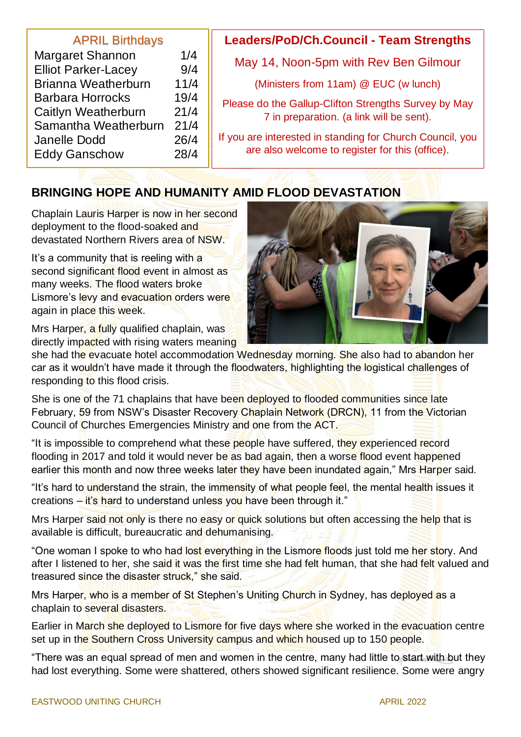#### APRIL Birthdays

| <b>Margaret Shannon</b>    | 1/4  |
|----------------------------|------|
| <b>Elliot Parker-Lacey</b> | 9/4  |
| <b>Brianna Weatherburn</b> | 11/4 |
| <b>Barbara Horrocks</b>    | 19/4 |
| Caitlyn Weatherburn        | 21/4 |
| Samantha Weatherburn       | 21/4 |
| <b>Janelle Dodd</b>        | 26/4 |
| <b>Eddy Ganschow</b>       | 28/4 |
|                            |      |

## **Leaders/PoD/Ch.Council - Team Strengths**

May 14, Noon-5pm with Rev Ben Gilmour

(Ministers from 11am) @ EUC (w lunch)

Please do the Gallup-Clifton Strengths Survey by May 7 in preparation. (a link will be sent).

If you are interested in standing for Church Council, you are also welcome to register for this (office).

## **BRINGING HOPE AND HUMANITY AMID FLOOD DEVASTATION**

Chaplain Lauris Harper is now in her second deployment to the flood-soaked and devastated Northern Rivers area of NSW.

It's a community that is reeling with a second significant flood event in almost as many weeks. The flood waters broke Lismore's levy and evacuation orders were again in place this week.

Mrs Harper, a fully qualified chaplain, was directly impacted with rising waters meaning



she had the evacuate hotel accommodation Wednesday morning. She also had to abandon her car as it wouldn't have made it through the floodwaters, highlighting the logistical challenges of responding to this flood crisis.

She is one of the 71 chaplains that have been deployed to flooded communities since late February, 59 from NSW's Disaster Recovery Chaplain Network (DRCN), 11 from the Victorian Council of Churches Emergencies Ministry and one from the ACT.

"It is impossible to comprehend what these people have suffered, they experienced record flooding in 2017 and told it would never be as bad again, then a worse flood event happened earlier this month and now three weeks later they have been inundated again," Mrs Harper said.

"It's hard to understand the strain, the immensity of what people feel, the mental health issues it creations – it's hard to understand unless you have been through it."

Mrs Harper said not only is there no easy or quick solutions but often accessing the help that is available is difficult, bureaucratic and dehumanising.

"One woman I spoke to who had lost everything in the Lismore floods just told me her story. And after I listened to her, she said it was the first time she had felt human, that she had felt valued and treasured since the disaster struck," she said.

Mrs Harper, who is a member of St Stephen's Uniting Church in Sydney, has deployed as a chaplain to several disasters.

Earlier in March she deployed to Lismore for five days where she worked in the evacuation centre set up in the Southern Cross University campus and which housed up to 150 people.

"There was an equal spread of men and women in the centre, many had little to start with but they had lost everything. Some were shattered, others showed significant resilience. Some were angry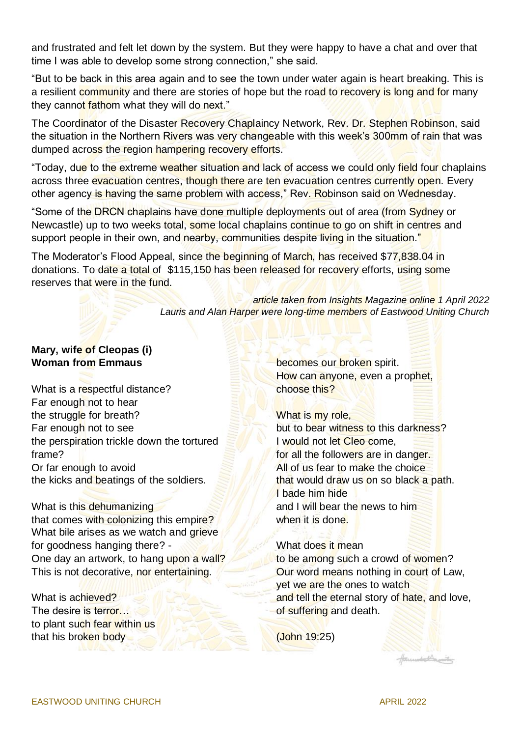and frustrated and felt let down by the system. But they were happy to have a chat and over that time I was able to develop some strong connection," she said.

"But to be back in this area again and to see the town under water again is heart breaking. This is a resilient community and there are stories of hope but the road to recovery is long and for many they cannot fathom what they will do next."

The Coordinator of the Disaster Recovery Chaplaincy Network, Rev. Dr. Stephen Robinson, said the situation in the Northern Rivers was very changeable with this week's 300mm of rain that was dumped across the region hampering recovery efforts.

"Today, due to the extreme weather situation and lack of access we could only field four chaplains across three evacuation centres, though there are ten evacuation centres currently open. Every other agency is having the same problem with access," Rev. Robinson said on Wednesday.

"Some of the DRCN chaplains have done multiple deployments out of area (from Sydney or Newcastle) up to two weeks total, some local chaplains continue to go on shift in centres and support people in their own, and nearby, communities despite living in the situation."

The Moderator's Flood Appeal, since the beginning of March, has received \$77,838.04 in donations. To date a total of \$115,150 has been released for recovery efforts, using some reserves that were in the fund.

> *article taken from Insights Magazine online 1 April 2022 Lauris and Alan Harper were long-time members of Eastwood Uniting Church*

#### **Mary, wife of Cleopas (i) Woman from Emmaus**

What is a respectful distance? Far enough not to hear the struggle for breath? Far enough not to see the perspiration trickle down the tortured frame? Or far enough to avoid the kicks and beatings of the soldiers.

What is this dehumanizing that comes with colonizing this empire? What bile arises as we watch and grieve for goodness hanging there? - One day an artwork, to hang upon a wall? This is not decorative, nor entertaining.

What is achieved? The desire is terror… to plant such fear within us that his broken body

becomes our broken spirit. How can anyone, even a prophet, choose this?

What is my role, but to bear witness to this darkness? I would not let Cleo come. for all the followers are in danger. All of us fear to make the choice that would draw us on so black a path. I bade him hide and I will bear the news to him when it is done.

#### What does it mean

to be among such a crowd of women? Our word means nothing in court of Law, yet we are the ones to watch and tell the eternal story of hate, and love, of suffering and death.

(John 19:25)

annet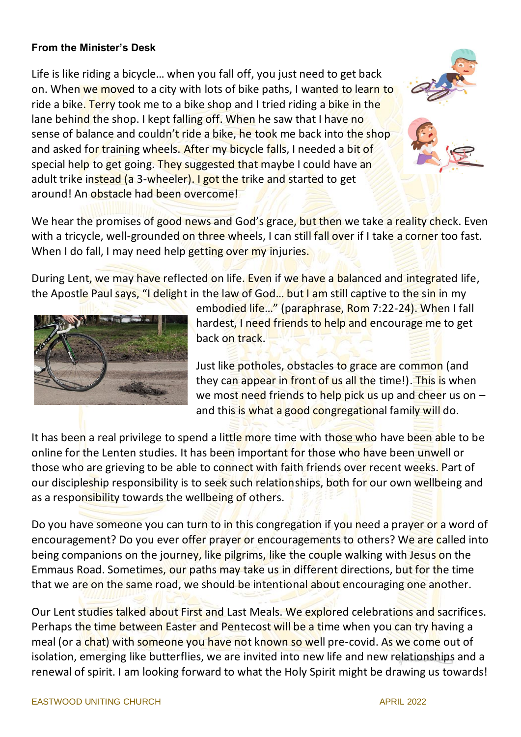#### **From the Minister's Desk**

Life is like riding a bicycle… when you fall off, you just need to get back on. When we moved to a city with lots of bike paths, I wanted to learn to ride a bike. Terry took me to a bike shop and I tried riding a bike in the lane behind the shop. I kept falling off. When he saw that I have no sense of balance and couldn't ride a bike, he took me back into the shop and asked for training wheels. After my bicycle falls, I needed a bit of special help to get going. They suggested that maybe I could have an adult trike instead (a 3-wheeler). I got the trike and started to get around! An obstacle had been overcome!

We hear the promises of good news and God's grace, but then we take a reality check. Even with a tricycle, well-grounded on three wheels, I can still fall over if I take a corner too fast. When I do fall, I may need help getting over my injuries.

During Lent, we may have reflected on life. Even if we have a balanced and integrated life, the Apostle Paul says, "I delight in the law of God... but I am still captive to the sin in my



embodied life…" (paraphrase, Rom 7:22-24). When I fall hardest, I need friends to help and encourage me to get back on track.

Just like potholes, obstacles to grace are common (and they can appear in front of us all the time!). This is when we most need friends to help pick us up and cheer us on  $$ and this is what a good congregational family will do.

It has been a real privilege to spend a little more time with those who have been able to be online for the Lenten studies. It has been important for those who have been unwell or those who are grieving to be able to connect with faith friends over recent weeks. Part of our discipleship responsibility is to seek such relationships, both for our own wellbeing and as a responsibility towards the wellbeing of others.

Do you have someone you can turn to in this congregation if you need a prayer or a word of encouragement? Do you ever offer prayer or encouragements to others? We are called into being companions on the journey, like pilgrims, like the couple walking with Jesus on the Emmaus Road. Sometimes, our paths may take us in different directions, but for the time that we are on the same road, we should be intentional about encouraging one another.

Our Lent studies talked about First and Last Meals. We explored celebrations and sacrifices. Perhaps the time between Easter and Pentecost will be a time when you can try having a meal (or a chat) with someone you have not known so well pre-covid. As we come out of isolation, emerging like butterflies, we are invited into new life and new relationships and a renewal of spirit. I am looking forward to what the Holy Spirit might be drawing us towards!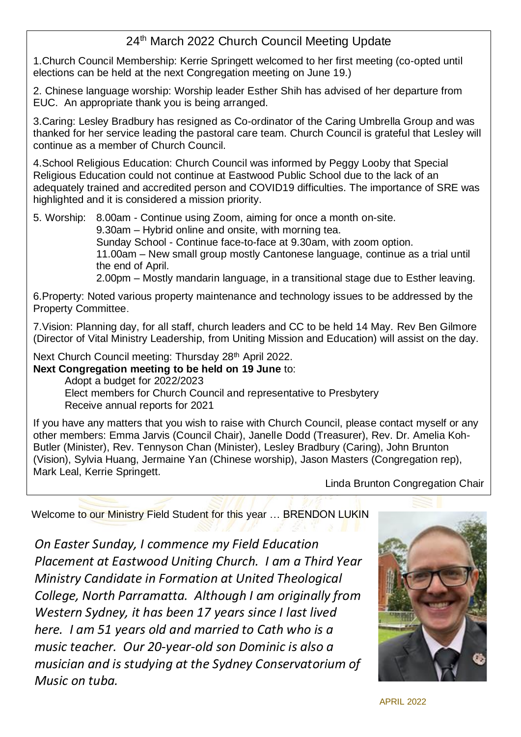## 24<sup>th</sup> March 2022 Church Council Meeting Update

1.Church Council Membership: Kerrie Springett welcomed to her first meeting (co-opted until elections can be held at the next Congregation meeting on June 19.)

2. Chinese language worship: Worship leader Esther Shih has advised of her departure from EUC. An appropriate thank you is being arranged.

3.Caring: Lesley Bradbury has resigned as Co-ordinator of the Caring Umbrella Group and was thanked for her service leading the pastoral care team. Church Council is grateful that Lesley will continue as a member of Church Council.

4.School Religious Education: Church Council was informed by Peggy Looby that Special Religious Education could not continue at Eastwood Public School due to the lack of an adequately trained and accredited person and COVID19 difficulties. The importance of SRE was highlighted and it is considered a mission priority.

5. Worship: 8.00am - Continue using Zoom, aiming for once a month on-site.

9.30am – Hybrid online and onsite, with morning tea.

Sunday School - Continue face-to-face at 9.30am, with zoom option.

11.00am – New small group mostly Cantonese language, continue as a trial until the end of April.

2.00pm – Mostly mandarin language, in a transitional stage due to Esther leaving.

6.Property: Noted various property maintenance and technology issues to be addressed by the Property Committee.

7.Vision: Planning day, for all staff, church leaders and CC to be held 14 May. Rev Ben Gilmore (Director of Vital Ministry Leadership, from Uniting Mission and Education) will assist on the day.

Next Church Council meeting: Thursday 28th April 2022.

**Next Congregation meeting to be held on 19 June** to:

Adopt a budget for 2022/2023 Elect members for Church Council and representative to Presbytery Receive annual reports for 2021

If you have any matters that you wish to raise with Church Council, please contact myself or any other members: Emma Jarvis (Council Chair), Janelle Dodd (Treasurer), Rev. Dr. Amelia Koh-Butler (Minister), Rev. Tennyson Chan (Minister), Lesley Bradbury (Caring), John Brunton (Vision), Sylvia Huang, Jermaine Yan (Chinese worship), Jason Masters (Congregation rep), Mark Leal, Kerrie Springett.

Linda Brunton Congregation Chair

Welcome to our Ministry Field Student for this year … BRENDON LUKIN

*On Easter Sunday, I commence my Field Education Placement at Eastwood Uniting Church. I am a Third Year Ministry Candidate in Formation at United Theological College, North Parramatta. Although I am originally from Western Sydney, it has been 17 years since I last lived here. I am 51 years old and married to Cath who is a music teacher. Our 20-year-old son Dominic is also a musician and is studying at the Sydney Conservatorium of Music on tuba.*



**APRIL 2022**